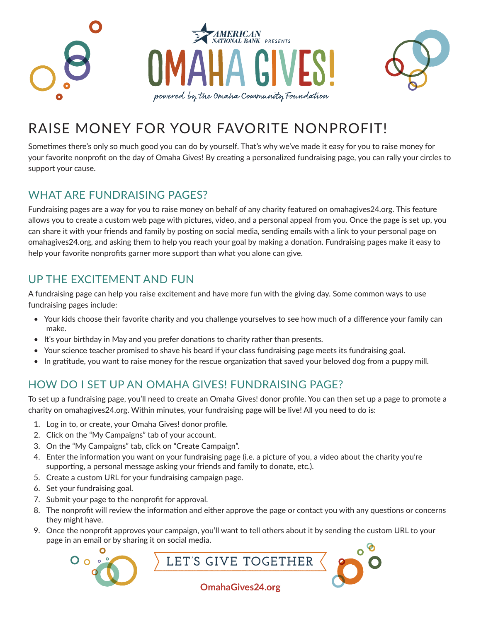



# RAISE MONEY FOR YOUR FAVORITE NONPROFIT!

Sometimes there's only so much good you can do by yourself. That's why we've made it easy for you to raise money for your favorite nonprofit on the day of Omaha Gives! By creating a personalized fundraising page, you can rally your circles to support your cause.

### WHAT ARE FUNDRAISING PAGES?

Fundraising pages are a way for you to raise money on behalf of any charity featured on omahagives24.org. This feature allows you to create a custom web page with pictures, video, and a personal appeal from you. Once the page is set up, you can share it with your friends and family by posting on social media, sending emails with a link to your personal page on omahagives24.org, and asking them to help you reach your goal by making a donation. Fundraising pages make it easy to help your favorite nonprofits garner more support than what you alone can give.

### UP THE EXCITEMENT AND FUN

A fundraising page can help you raise excitement and have more fun with the giving day. Some common ways to use fundraising pages include:

- Your kids choose their favorite charity and you challenge yourselves to see how much of a difference your family can make.
- It's your birthday in May and you prefer donations to charity rather than presents.
- Your science teacher promised to shave his beard if your class fundraising page meets its fundraising goal.
- In gratitude, you want to raise money for the rescue organization that saved your beloved dog from a puppy mill.

## HOW DO I SET UP AN OMAHA GIVES! FUNDRAISING PAGE?

To set up a fundraising page, you'll need to create an Omaha Gives! donor profile. You can then set up a page to promote a charity on omahagives24.org. Within minutes, your fundraising page will be live! All you need to do is:

- 1. Log in to, or create, your Omaha Gives! donor profile.
- 2. Click on the "My Campaigns" tab of your account.
- 3. On the "My Campaigns" tab, click on "Create Campaign".
- 4. Enter the information you want on your fundraising page (i.e. a picture of you, a video about the charity you're supporting, a personal message asking your friends and family to donate, etc.).
- 5. Create a custom URL for your fundraising campaign page.
- 6. Set your fundraising goal.
- 7. Submit your page to the nonprofit for approval.
- 8. The nonprofit will review the information and either approve the page or contact you with any questions or concerns they might have.
- 9. Once the nonprofit approves your campaign, you'll want to tell others about it by sending the custom URL to your page in an email or by sharing it on social media.